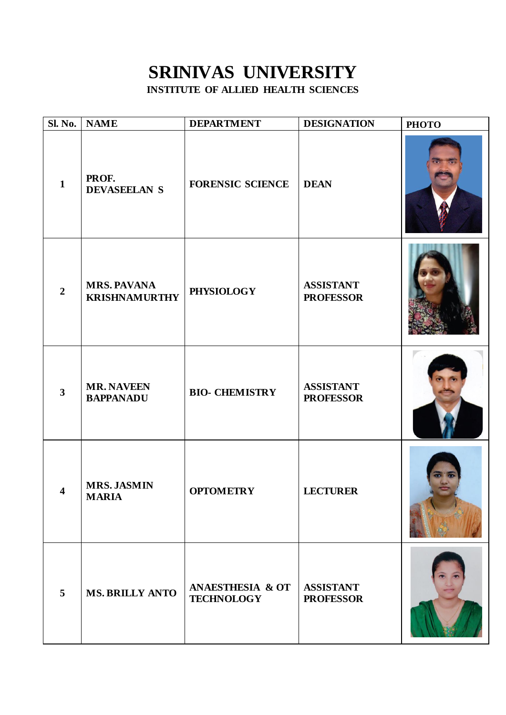## **SRINIVAS UNIVERSITY INSTITUTE OF ALLIED HEALTH SCIENCES**

| Sl. No.                 | <b>NAME</b>                                | <b>DEPARTMENT</b>                                | <b>DESIGNATION</b>                   | <b>PHOTO</b> |
|-------------------------|--------------------------------------------|--------------------------------------------------|--------------------------------------|--------------|
| $\mathbf{1}$            | PROF.<br><b>DEVASEELAN S</b>               | <b>FORENSIC SCIENCE</b>                          | <b>DEAN</b>                          |              |
| $\overline{2}$          | <b>MRS. PAVANA</b><br><b>KRISHNAMURTHY</b> | <b>PHYSIOLOGY</b>                                | <b>ASSISTANT</b><br><b>PROFESSOR</b> |              |
| $\overline{\mathbf{3}}$ | <b>MR. NAVEEN</b><br><b>BAPPANADU</b>      | <b>BIO- CHEMISTRY</b>                            | <b>ASSISTANT</b><br><b>PROFESSOR</b> |              |
| $\overline{\mathbf{4}}$ | <b>MRS. JASMIN</b><br><b>MARIA</b>         | <b>OPTOMETRY</b>                                 | <b>LECTURER</b>                      |              |
| 5                       | <b>MS. BRILLY ANTO</b>                     | <b>ANAESTHESIA &amp; OT</b><br><b>TECHNOLOGY</b> | <b>ASSISTANT</b><br><b>PROFESSOR</b> |              |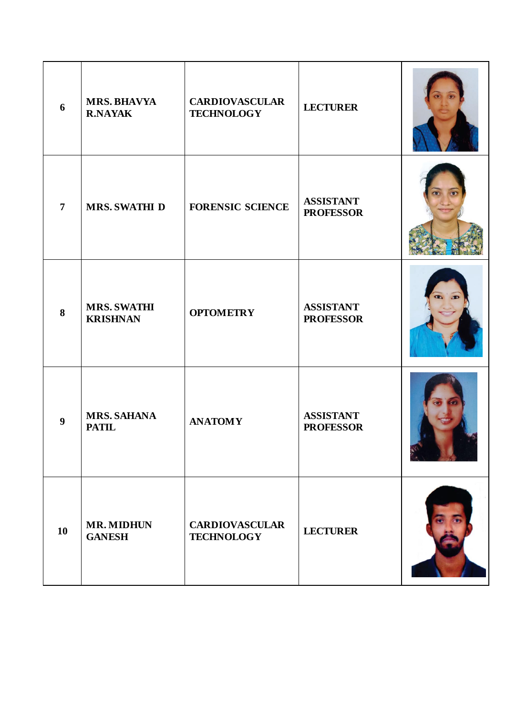| 6              | <b>MRS. BHAVYA</b><br><b>R.NAYAK</b>  | <b>CARDIOVASCULAR</b><br><b>TECHNOLOGY</b> | <b>LECTURER</b>                      |  |
|----------------|---------------------------------------|--------------------------------------------|--------------------------------------|--|
| $\overline{7}$ | <b>MRS. SWATHI D</b>                  | <b>FORENSIC SCIENCE</b>                    | <b>ASSISTANT</b><br><b>PROFESSOR</b> |  |
| 8              | <b>MRS. SWATHI</b><br><b>KRISHNAN</b> | <b>OPTOMETRY</b>                           | <b>ASSISTANT</b><br><b>PROFESSOR</b> |  |
| 9              | <b>MRS. SAHANA</b><br><b>PATIL</b>    | <b>ANATOMY</b>                             | <b>ASSISTANT</b><br><b>PROFESSOR</b> |  |
| 10             | <b>MR. MIDHUN</b><br><b>GANESH</b>    | <b>CARDIOVASCULAR</b><br><b>TECHNOLOGY</b> | <b>LECTURER</b>                      |  |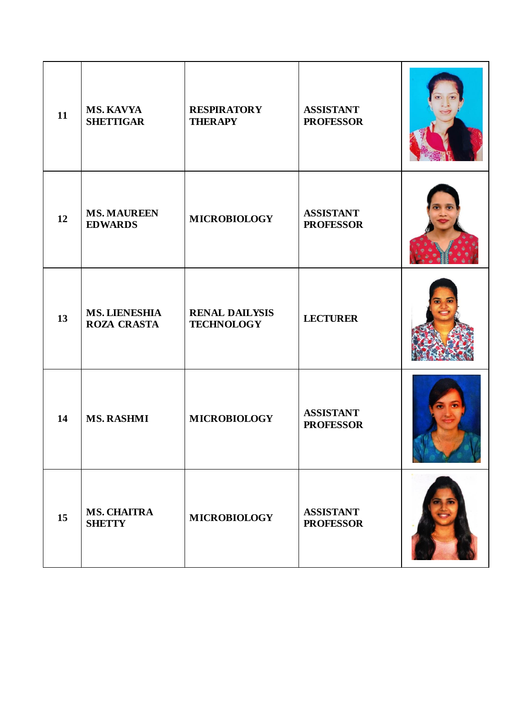| 11 | <b>MS. KAVYA</b><br><b>SHETTIGAR</b>       | <b>RESPIRATORY</b><br><b>THERAPY</b>       | <b>ASSISTANT</b><br><b>PROFESSOR</b> |  |
|----|--------------------------------------------|--------------------------------------------|--------------------------------------|--|
| 12 | <b>MS. MAUREEN</b><br><b>EDWARDS</b>       | <b>MICROBIOLOGY</b>                        | <b>ASSISTANT</b><br><b>PROFESSOR</b> |  |
| 13 | <b>MS. LIENESHIA</b><br><b>ROZA CRASTA</b> | <b>RENAL DAILYSIS</b><br><b>TECHNOLOGY</b> | <b>LECTURER</b>                      |  |
| 14 | <b>MS. RASHMI</b>                          | <b>MICROBIOLOGY</b>                        | <b>ASSISTANT</b><br><b>PROFESSOR</b> |  |
| 15 | <b>MS. CHAITRA</b><br><b>SHETTY</b>        | <b>MICROBIOLOGY</b>                        | <b>ASSISTANT</b><br><b>PROFESSOR</b> |  |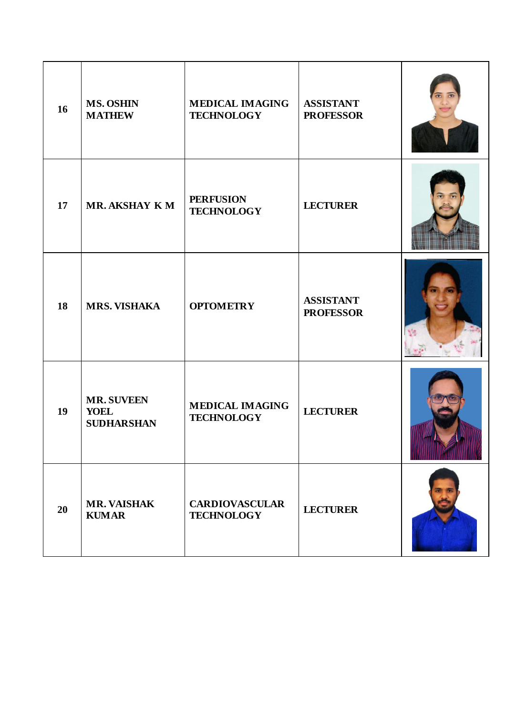| 16 | <b>MS. OSHIN</b><br><b>MATHEW</b>                     | <b>MEDICAL IMAGING</b><br><b>TECHNOLOGY</b> | <b>ASSISTANT</b><br><b>PROFESSOR</b> |  |
|----|-------------------------------------------------------|---------------------------------------------|--------------------------------------|--|
| 17 | <b>MR. AKSHAY K M</b>                                 | <b>PERFUSION</b><br><b>TECHNOLOGY</b>       | <b>LECTURER</b>                      |  |
| 18 | <b>MRS. VISHAKA</b>                                   | <b>OPTOMETRY</b>                            | <b>ASSISTANT</b><br><b>PROFESSOR</b> |  |
| 19 | <b>MR. SUVEEN</b><br><b>YOEL</b><br><b>SUDHARSHAN</b> | <b>MEDICAL IMAGING</b><br><b>TECHNOLOGY</b> | <b>LECTURER</b>                      |  |
| 20 | <b>MR. VAISHAK</b><br><b>KUMAR</b>                    | <b>CARDIOVASCULAR</b><br><b>TECHNOLOGY</b>  | <b>LECTURER</b>                      |  |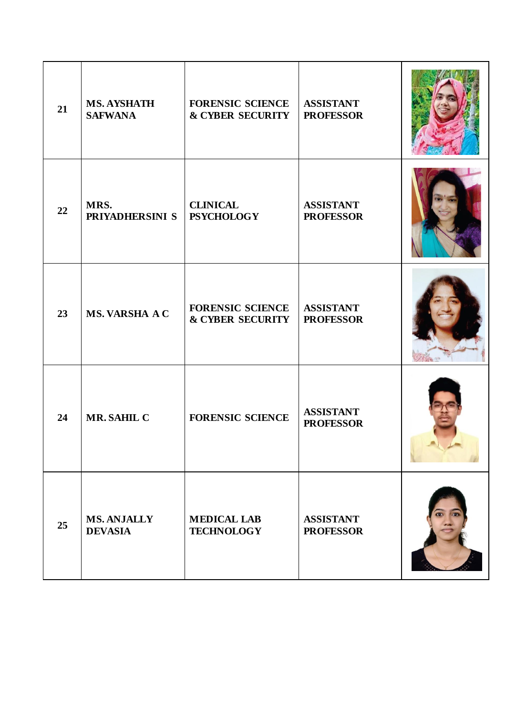| 21 | <b>MS. AYSHATH</b><br><b>SAFWANA</b> | <b>FORENSIC SCIENCE</b><br><b>&amp; CYBER SECURITY</b> | <b>ASSISTANT</b><br><b>PROFESSOR</b> |  |
|----|--------------------------------------|--------------------------------------------------------|--------------------------------------|--|
| 22 | MRS.<br>PRIYADHERSINI S              | <b>CLINICAL</b><br><b>PSYCHOLOGY</b>                   | <b>ASSISTANT</b><br><b>PROFESSOR</b> |  |
| 23 | <b>MS. VARSHA A C</b>                | <b>FORENSIC SCIENCE</b><br><b>&amp; CYBER SECURITY</b> | <b>ASSISTANT</b><br><b>PROFESSOR</b> |  |
| 24 | MR. SAHIL C                          | <b>FORENSIC SCIENCE</b>                                | <b>ASSISTANT</b><br><b>PROFESSOR</b> |  |
| 25 | <b>MS. ANJALLY</b><br><b>DEVASIA</b> | <b>MEDICAL LAB</b><br><b>TECHNOLOGY</b>                | <b>ASSISTANT</b><br><b>PROFESSOR</b> |  |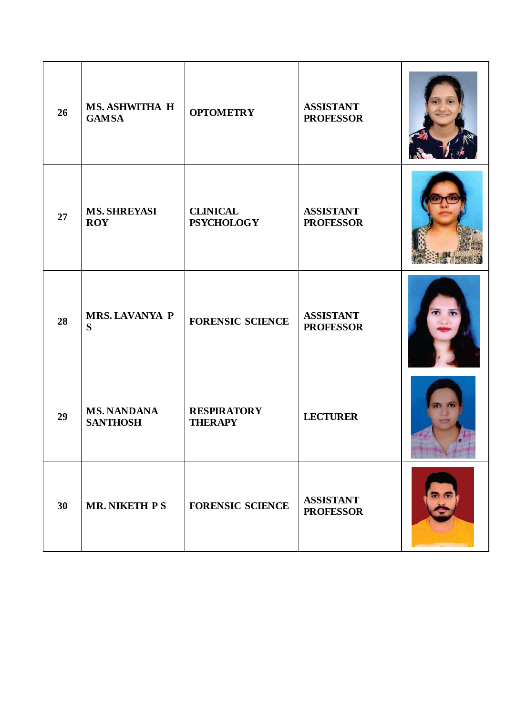| 26 | <b>MS. ASHWITHA H</b><br><b>GAMSA</b> | <b>OPTOMETRY</b>                     | <b>ASSISTANT</b><br><b>PROFESSOR</b> |  |
|----|---------------------------------------|--------------------------------------|--------------------------------------|--|
| 27 | <b>MS. SHREYASI</b><br><b>ROY</b>     | <b>CLINICAL</b><br><b>PSYCHOLOGY</b> | <b>ASSISTANT</b><br><b>PROFESSOR</b> |  |
| 28 | <b>MRS. LAVANYA P</b><br>S            | <b>FORENSIC SCIENCE</b>              | <b>ASSISTANT</b><br><b>PROFESSOR</b> |  |
| 29 | <b>MS. NANDANA</b><br><b>SANTHOSH</b> | <b>RESPIRATORY</b><br><b>THERAPY</b> | <b>LECTURER</b>                      |  |
| 30 | <b>MR. NIKETH PS</b>                  | <b>FORENSIC SCIENCE</b>              | <b>ASSISTANT</b><br><b>PROFESSOR</b> |  |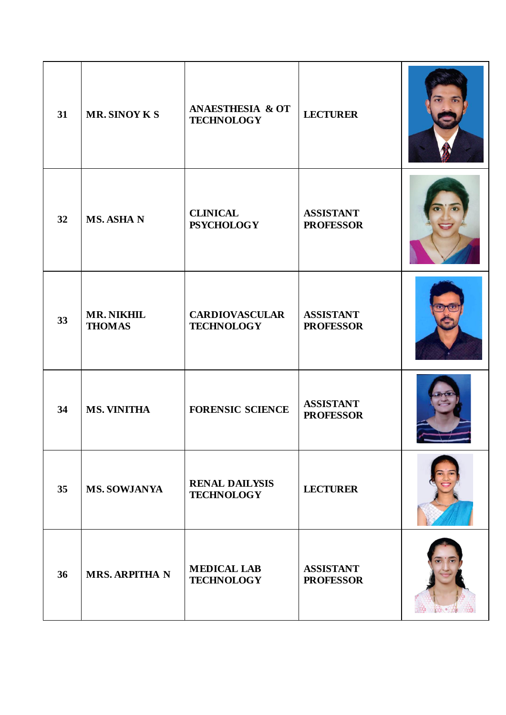| 31 | <b>MR. SINOY K S</b>               | <b>ANAESTHESIA &amp; OT</b><br><b>TECHNOLOGY</b> | <b>LECTURER</b>                      |  |
|----|------------------------------------|--------------------------------------------------|--------------------------------------|--|
| 32 | <b>MS. ASHA N</b>                  | <b>CLINICAL</b><br><b>PSYCHOLOGY</b>             | <b>ASSISTANT</b><br><b>PROFESSOR</b> |  |
| 33 | <b>MR. NIKHIL</b><br><b>THOMAS</b> | <b>CARDIOVASCULAR</b><br><b>TECHNOLOGY</b>       | <b>ASSISTANT</b><br><b>PROFESSOR</b> |  |
| 34 | <b>MS. VINITHA</b>                 | <b>FORENSIC SCIENCE</b>                          | <b>ASSISTANT</b><br><b>PROFESSOR</b> |  |
| 35 | <b>MS. SOWJANYA</b>                | <b>RENAL DAILYSIS</b><br><b>TECHNOLOGY</b>       | <b>LECTURER</b>                      |  |
| 36 | <b>MRS. ARPITHA N</b>              | <b>MEDICAL LAB</b><br><b>TECHNOLOGY</b>          | <b>ASSISTANT</b><br><b>PROFESSOR</b> |  |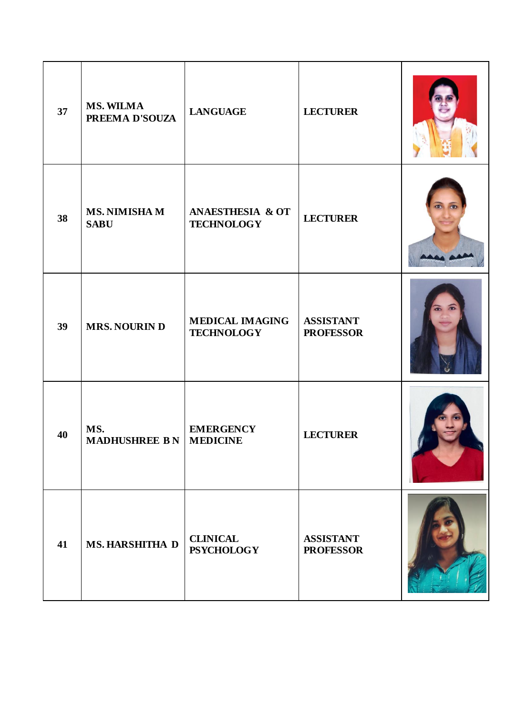| 37 | <b>MS. WILMA</b><br>PREEMA D'SOUZA      | <b>LANGUAGE</b>                                  | <b>LECTURER</b>                      |  |
|----|-----------------------------------------|--------------------------------------------------|--------------------------------------|--|
| 38 | <b>MS. NIMISHA M</b><br><b>SABU</b>     | <b>ANAESTHESIA &amp; OT</b><br><b>TECHNOLOGY</b> | <b>LECTURER</b>                      |  |
| 39 | <b>MRS. NOURIN D</b>                    | <b>MEDICAL IMAGING</b><br><b>TECHNOLOGY</b>      | <b>ASSISTANT</b><br><b>PROFESSOR</b> |  |
| 40 | MS.<br><b>MADHUSHREE B N   MEDICINE</b> | <b>EMERGENCY</b>                                 | <b>LECTURER</b>                      |  |
| 41 | <b>MS. HARSHITHA D</b>                  | <b>CLINICAL</b><br><b>PSYCHOLOGY</b>             | <b>ASSISTANT</b><br><b>PROFESSOR</b> |  |